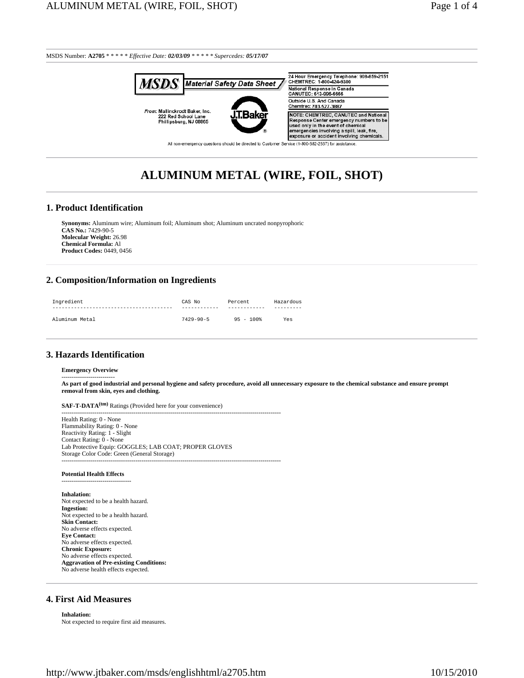

# **ALUMINUM METAL (WIRE, FOIL, SHOT)**

#### **1. Product Identification**

**Synonyms:** Aluminum wire; Aluminum foil; Aluminum shot; Aluminum uncrated nonpyrophoric **CAS No.:** 7429-90-5 **Molecular Weight:** 26.98 **Chemical Formula:** Al **Product Codes:** 0449, 0456

#### **2. Composition/Information on Ingredients**

| Ingredient     | CAS No<br>---------- | Percent<br>----------- | Hazardous |
|----------------|----------------------|------------------------|-----------|
| Aluminum Metal | $7429 - 90 - 5$      | $95 - 100$             | Yes       |

#### **3. Hazards Identification**

#### **Emergency Overview** --------------------------

**As part of good industrial and personal hygiene and safety procedure, avoid all unnecessary exposure to the chemical substance and ensure prompt removal from skin, eyes and clothing.**

**SAF-T-DATA(tm)** Ratings (Provided here for your convenience)

----------------------------------------------------------------------------------------------------------- Health Rating: 0 - None Flammability Rating: 0 - None Reactivity Rating: 1 - Slight Contact Rating: 0 - None Lab Protective Equip: GOGGLES; LAB COAT; PROPER GLOVES Storage Color Code: Green (General Storage) -----------------------------------------------------------------------------------------------------------

#### **Potential Health Effects**

----------------------------------

**Inhalation:** Not expected to be a health hazard. **Ingestion:** Not expected to be a health hazard. **Skin Contact:** No adverse effects expected. **Eye Contact:** No adverse effects expected. **Chronic Exposure:** No adverse effects expected. **Aggravation of Pre-existing Conditions:** No adverse health effects expected.

# **4. First Aid Measures**

**Inhalation:** Not expected to require first aid measures.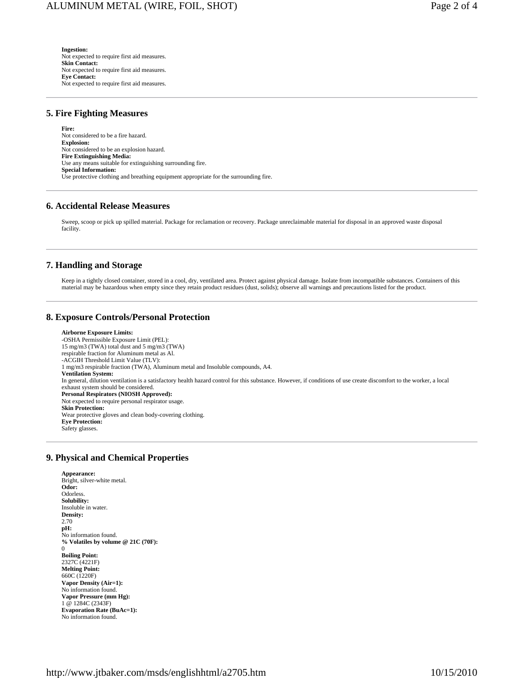**Ingestion:** Not expected to require first aid measures. **Skin Contact:** Not expected to require first aid measures. **Eye Contact:** Not expected to require first aid measures.

## **5. Fire Fighting Measures**

**Fire:** Not considered to be a fire hazard. **Explosion:** Not considered to be an explosion hazard. **Fire Extinguishing Media:** Use any means suitable for extinguishing surrounding fire. **Special Information:** Use protective clothing and breathing equipment appropriate for the surrounding fire.

#### **6. Accidental Release Measures**

Sweep, scoop or pick up spilled material. Package for reclamation or recovery. Package unreclaimable material for disposal in an approved waste disposal facility.

#### **7. Handling and Storage**

Keep in a tightly closed container, stored in a cool, dry, ventilated area. Protect against physical damage. Isolate from incompatible substances. Containers of this material may be hazardous when empty since they retain product residues (dust, solids); observe all warnings and precautions listed for the product.

## **8. Exposure Controls/Personal Protection**

**Airborne Exposure Limits:** -OSHA Permissible Exposure Limit (PEL): 15 mg/m3 (TWA) total dust and 5 mg/m3 (TWA) respirable fraction for Aluminum metal as Al. -ACGIH Threshold Limit Value (TLV): 1 mg/m3 respirable fraction (TWA), Aluminum metal and Insoluble compounds, A4. **Ventilation System:** In general, dilution ventilation is a satisfactory health hazard control for this substance. However, if conditions of use create discomfort to the worker, a local exhaust system should be considered. **Personal Respirators (NIOSH Approved):** Not expected to require personal respirator usage. **Skin Protection:** Wear protective gloves and clean body-covering clothing. **Eye Protection:** Safety glasses.

## **9. Physical and Chemical Properties**

**Appearance:** Bright, silver-white metal. **Odor: Odorless Solubility:** Insoluble in water. **Density:** 2.70 **pH:** No information found. **% Volatiles by volume @ 21C (70F):** 0 **Boiling Point:** 2327C (4221F) **Melting Point:** 660C (1220F) **Vapor Density (Air=1):** No information found. **Vapor Pressure (mm Hg):** 1 @ 1284C (2343F) **Evaporation Rate (BuAc=1):** No information found.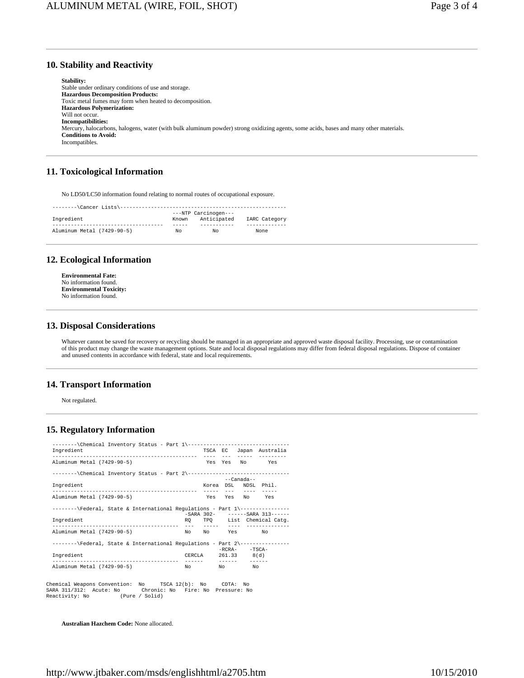# **10. Stability and Reactivity**

**Stability:** Stable under ordinary conditions of use and storage. **Hazardous Decomposition Products:** Toxic metal fumes may form when heated to decomposition. **Hazardous Polymerization:** Will not occur. **Incompatibilities:** Mercury, halocarbons, halogens, water (with bulk aluminum powder) strong oxidizing agents, some acids, bases and many other materials. **Conditions to Avoid:** Incompatibles.

# **11. Toxicological Information**

No LD50/LC50 information found relating to normal routes of occupational exposure.

| --------\Cancer Lists\----------------- |       |                      |               |  |  |  |
|-----------------------------------------|-------|----------------------|---------------|--|--|--|
|                                         |       | ---NTP Carcinogen--- |               |  |  |  |
| Ingredient                              | Known | Anticipated          | IARC Category |  |  |  |
|                                         |       |                      |               |  |  |  |
| Aluminum Metal (7429-90-5)              | NΩ    | NΩ                   | None          |  |  |  |

# **12. Ecological Information**

**Environmental Fate:** No information found. **Environmental Toxicity:** No information found.

# **13. Disposal Considerations**

Whatever cannot be saved for recovery or recycling should be managed in an appropriate and approved waste disposal facility. Processing, use or contamination of this product may change the waste management options. State and local disposal regulations may differ from federal disposal regulations. Dispose of container and unused contents in accordance with federal, state and local requirements.

# **14. Transport Information**

Not regulated.

# **15. Regulatory Information**

| --------\Chemical Inventory Status - Part 1\----------------------------------<br>Ingredient |        |             |                | TSCA EC Japan Australia         |
|----------------------------------------------------------------------------------------------|--------|-------------|----------------|---------------------------------|
|                                                                                              |        |             |                |                                 |
| Aluminum Metal (7429-90-5)                                                                   |        |             |                | Yes Yes No Yes                  |
| --------\Chemical Inventory Status - Part 2\---------------------------------                |        |             |                |                                 |
| Ingredient                                                                                   |        |             | --Canada--     | Korea DSL NDSL Phil.            |
| Aluminum Metal (7429-90-5)                                                                   |        |             |                | Yes Yes No Yes                  |
| --------\Federal, State & International Requlations - Part 1\----------------                |        |             |                | -SARA 302- ------SARA 313------ |
| Ingredient                                                                                   |        |             |                | RQ TPQ List Chemical Catg.      |
| Aluminum Metal (7429-90-5)                                                                   |        |             | No No Yes No   |                                 |
| --------\Federal, State & International Regulations - Part 2\---------------                 |        |             | $-RCRA -TSCA-$ |                                 |
| Ingredient                                                                                   | CERCLA | 261.33 8(d) |                |                                 |
| Aluminum Metal (7429-90-5)                                                                   | No     |             | No No          |                                 |
| Chemical Weapons Convention: No<br>TSCA 12(b): No                                            |        | CDTA: No    |                |                                 |

Chemical Weapons Convention: No TSCA 12(b): No CDTA: No SARA 311/312: Acute: No Chronic: No Fire: No Pressure: No Reactivity: No (Pure / Solid)

**Australian Hazchem Code:** None allocated.